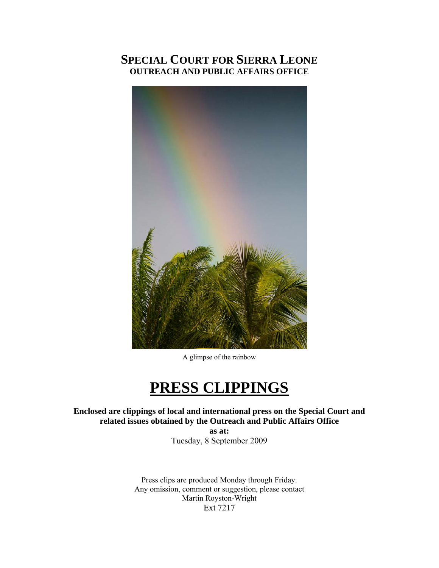## **SPECIAL COURT FOR SIERRA LEONE OUTREACH AND PUBLIC AFFAIRS OFFICE**



A glimpse of the rainbow

## **PRESS CLIPPINGS**

**Enclosed are clippings of local and international press on the Special Court and related issues obtained by the Outreach and Public Affairs Office** 

> **as at:**  Tuesday, 8 September 2009

Press clips are produced Monday through Friday. Any omission, comment or suggestion, please contact Martin Royston-Wright Ext 7217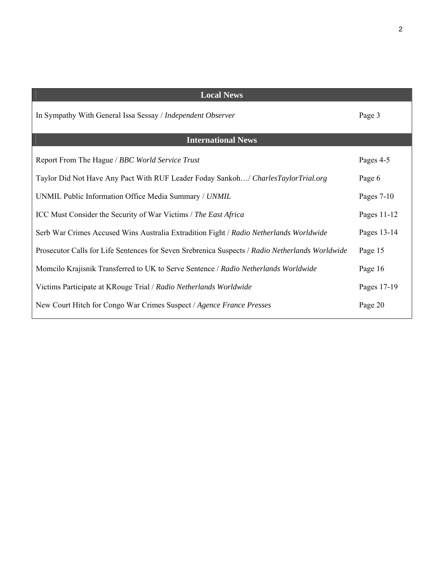| <b>Local News</b>                                                                               |              |
|-------------------------------------------------------------------------------------------------|--------------|
| In Sympathy With General Issa Sessay / Independent Observer                                     | Page 3       |
| <b>International News</b>                                                                       |              |
| Report From The Hague / BBC World Service Trust                                                 | Pages 4-5    |
| Taylor Did Not Have Any Pact With RUF Leader Foday Sankoh/ CharlesTaylorTrial.org               | Page 6       |
| UNMIL Public Information Office Media Summary / UNMIL                                           | Pages $7-10$ |
| ICC Must Consider the Security of War Victims / The East Africa                                 | Pages 11-12  |
| Serb War Crimes Accused Wins Australia Extradition Fight / Radio Netherlands Worldwide          | Pages 13-14  |
| Prosecutor Calls for Life Sentences for Seven Srebrenica Suspects / Radio Netherlands Worldwide | Page 15      |
| Momcilo Krajisnik Transferred to UK to Serve Sentence / Radio Netherlands Worldwide             | Page 16      |
| Victims Participate at KRouge Trial / Radio Netherlands Worldwide                               | Pages 17-19  |
| New Court Hitch for Congo War Crimes Suspect / Agence France Presses                            | Page 20      |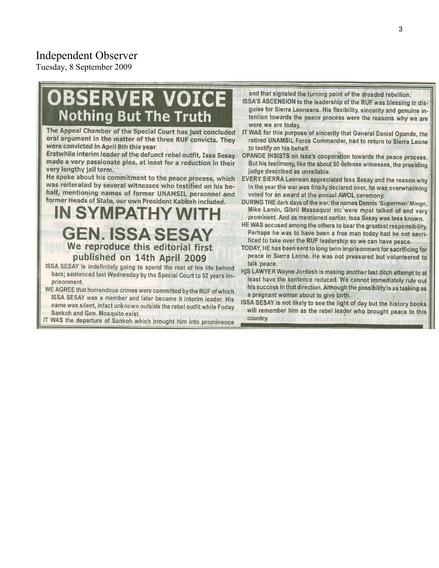## Independent Observer

Tuesday, 8 September 2009

# **BSERVER VOICE Nothing But The Truth**

The Appeal Chamber of the Special Court has just concluded oral argument in the matter of the three RUF convicts. They were convicted in April 8th this year

Erstwhile interim leader of the defunct rebel outfit, Issa Sesay made a very passionate plea, at least for a reduction in their very lengthy jail term.

He spoke about his commitment to the peace process, which was reiterated by several witnesses who testified on his behalf, mentioning names of former UNAMSIL personnel and former Heads of State, our own President Kabbah included.

## **IN SYMPATHY W GEN. ISSA SESAY** We reproduce this editorial first published on 14th April 2009

- ISSA SESAY is indefinitely going to spend the rest of his life behind bars; sentenced last Wednesday by the Special Court to 52 years imprisonment.
- WE AGREE that horrendous crimes were committed by the RUF of which ISSA SESAY was a member and later became it interim leader. His name was silent, infact unknown outside the rebel outfit while Foday Sankoh and Gen. Mosquito exist.

IT WAS the departure of Sankoh which brought him into prominence

and that signaled the turning point of the dreaded rebellion.

- ISSA'S ASCENSION to the leadership of the RUF was blessing in disguise for Sierra Leoneans. His flexibility, sincerity and genuine intention towards the peace process were the reasons why we are were we are today.
- IT WAS for this purpose of sincerity that General Daniel Opande, the retired UNAMSIL Force Commander, had to return to Sierra Leone to testify on his behalf.
- OPANDE INSISTS on Issa's cooperation towards the peace process. But his testimony, like the about 50 defense witnesses, the presiding judge described as unreliable.
- EVERY SIERRA Leonean appreciated Issa Sesay and the reason why in the year the war was finally declared over, he was overwhelming voted for an award at the annual AWOL ceremony.
- DURING THE dark days of the war, the names Dennis 'Superman' Mingo, Mike Lamin, Gibril Massaquoi etc were most talked of and very prominent. And as mentioned earlier, Issa Sesay was less known.
- HE WAS accused among the others to bear the greatest responsibility. Perhaps he was to have been a free man today had he not sacrificed to take over the RUF leadership so we can have peace.
- TODAY, HE has been sent to long term imprisonment for sacrificing for peace in Sierra Leone. He was not pressured but volunteered to talk peace.
- HJS LAWYER Wayne Jordash is making another last ditch attempt to at least have the sentence reduced. We cannot immediately rule out his success in that direction. Although the possibility is as tasking as a pregnant woman about to give birth.
- ISSA SESAY is not likely to see the light of day but the history books will remember him as the rebel leader who brought peace to this country.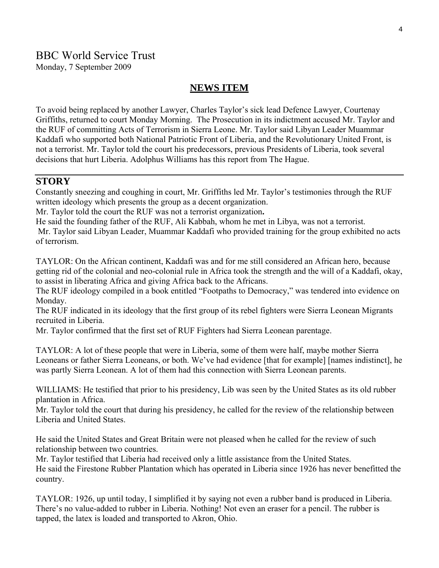## BBC World Service Trust

Monday, 7 September 2009

### **NEWS ITEM**

To avoid being replaced by another Lawyer, Charles Taylor's sick lead Defence Lawyer, Courtenay Griffiths, returned to court Monday Morning. The Prosecution in its indictment accused Mr. Taylor and the RUF of committing Acts of Terrorism in Sierra Leone. Mr. Taylor said Libyan Leader Muammar Kaddafi who supported both National Patriotic Front of Liberia, and the Revolutionary United Front, is not a terrorist. Mr. Taylor told the court his predecessors, previous Presidents of Liberia, took several decisions that hurt Liberia. Adolphus Williams has this report from The Hague.

## **STORY**

Constantly sneezing and coughing in court, Mr. Griffiths led Mr. Taylor's testimonies through the RUF written ideology which presents the group as a decent organization.

Mr. Taylor told the court the RUF was not a terrorist organization**.** 

He said the founding father of the RUF, Ali Kabbah, whom he met in Libya, was not a terrorist.

 Mr. Taylor said Libyan Leader, Muammar Kaddafi who provided training for the group exhibited no acts of terrorism.

TAYLOR: On the African continent, Kaddafi was and for me still considered an African hero, because getting rid of the colonial and neo-colonial rule in Africa took the strength and the will of a Kaddafi, okay, to assist in liberating Africa and giving Africa back to the Africans.

The RUF ideology compiled in a book entitled "Footpaths to Democracy," was tendered into evidence on Monday.

The RUF indicated in its ideology that the first group of its rebel fighters were Sierra Leonean Migrants recruited in Liberia.

Mr. Taylor confirmed that the first set of RUF Fighters had Sierra Leonean parentage.

TAYLOR: A lot of these people that were in Liberia, some of them were half, maybe mother Sierra Leoneans or father Sierra Leoneans, or both. We've had evidence [that for example] [names indistinct], he was partly Sierra Leonean. A lot of them had this connection with Sierra Leonean parents.

WILLIAMS: He testified that prior to his presidency, Lib was seen by the United States as its old rubber plantation in Africa.

Mr. Taylor told the court that during his presidency, he called for the review of the relationship between Liberia and United States.

He said the United States and Great Britain were not pleased when he called for the review of such relationship between two countries.

Mr. Taylor testified that Liberia had received only a little assistance from the United States. He said the Firestone Rubber Plantation which has operated in Liberia since 1926 has never benefitted the country.

TAYLOR: 1926, up until today, I simplified it by saying not even a rubber band is produced in Liberia. There's no value-added to rubber in Liberia. Nothing! Not even an eraser for a pencil. The rubber is tapped, the latex is loaded and transported to Akron, Ohio.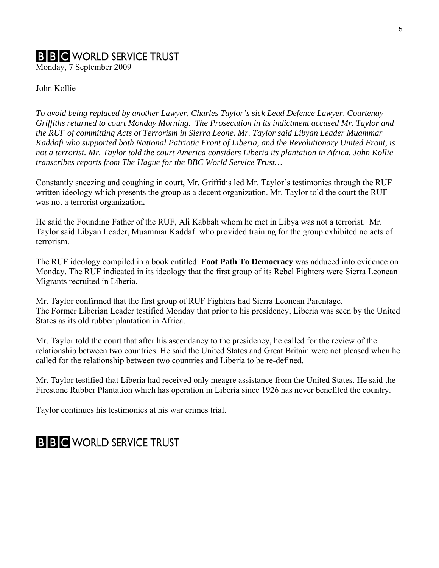## **B B C** WORLD SERVICE TRUST

Monday, 7 September 2009

John Kollie

*To avoid being replaced by another Lawyer, Charles Taylor's sick Lead Defence Lawyer, Courtenay Griffiths returned to court Monday Morning. The Prosecution in its indictment accused Mr. Taylor and the RUF of committing Acts of Terrorism in Sierra Leone. Mr. Taylor said Libyan Leader Muammar Kaddafi who supported both National Patriotic Front of Liberia, and the Revolutionary United Front, is not a terrorist. Mr. Taylor told the court America considers Liberia its plantation in Africa. John Kollie transcribes reports from The Hague for the BBC World Service Trust…* 

Constantly sneezing and coughing in court, Mr. Griffiths led Mr. Taylor's testimonies through the RUF written ideology which presents the group as a decent organization. Mr. Taylor told the court the RUF was not a terrorist organization**.** 

He said the Founding Father of the RUF, Ali Kabbah whom he met in Libya was not a terrorist. Mr. Taylor said Libyan Leader, Muammar Kaddafi who provided training for the group exhibited no acts of terrorism.

The RUF ideology compiled in a book entitled: **Foot Path To Democracy** was adduced into evidence on Monday. The RUF indicated in its ideology that the first group of its Rebel Fighters were Sierra Leonean Migrants recruited in Liberia.

Mr. Taylor confirmed that the first group of RUF Fighters had Sierra Leonean Parentage. The Former Liberian Leader testified Monday that prior to his presidency, Liberia was seen by the United States as its old rubber plantation in Africa.

Mr. Taylor told the court that after his ascendancy to the presidency, he called for the review of the relationship between two countries. He said the United States and Great Britain were not pleased when he called for the relationship between two countries and Liberia to be re-defined.

Mr. Taylor testified that Liberia had received only meagre assistance from the United States. He said the Firestone Rubber Plantation which has operation in Liberia since 1926 has never benefited the country.

Taylor continues his testimonies at his war crimes trial.

## **BBC** WORLD SERVICE TRUST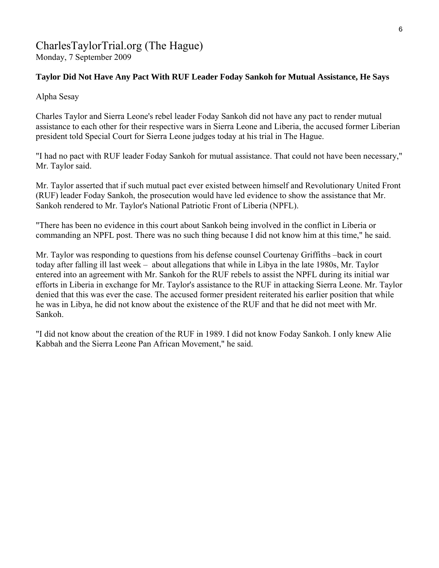## CharlesTaylorTrial.org (The Hague) Monday, 7 September 2009

## **Taylor Did Not Have Any Pact With RUF Leader Foday Sankoh for Mutual Assistance, He Says**

Alpha Sesay

Charles Taylor and Sierra Leone's rebel leader Foday Sankoh did not have any pact to render mutual assistance to each other for their respective wars in Sierra Leone and Liberia, the accused former Liberian president told Special Court for Sierra Leone judges today at his trial in The Hague.

"I had no pact with RUF leader Foday Sankoh for mutual assistance. That could not have been necessary," Mr. Taylor said.

Mr. Taylor asserted that if such mutual pact ever existed between himself and Revolutionary United Front (RUF) leader Foday Sankoh, the prosecution would have led evidence to show the assistance that Mr. Sankoh rendered to Mr. Taylor's National Patriotic Front of Liberia (NPFL).

"There has been no evidence in this court about Sankoh being involved in the conflict in Liberia or commanding an NPFL post. There was no such thing because I did not know him at this time," he said.

Mr. Taylor was responding to questions from his defense counsel Courtenay Griffiths –back in court today after falling ill last week – about allegations that while in Libya in the late 1980s, Mr. Taylor entered into an agreement with Mr. Sankoh for the RUF rebels to assist the NPFL during its initial war efforts in Liberia in exchange for Mr. Taylor's assistance to the RUF in attacking Sierra Leone. Mr. Taylor denied that this was ever the case. The accused former president reiterated his earlier position that while he was in Libya, he did not know about the existence of the RUF and that he did not meet with Mr. Sankoh.

"I did not know about the creation of the RUF in 1989. I did not know Foday Sankoh. I only knew Alie Kabbah and the Sierra Leone Pan African Movement," he said.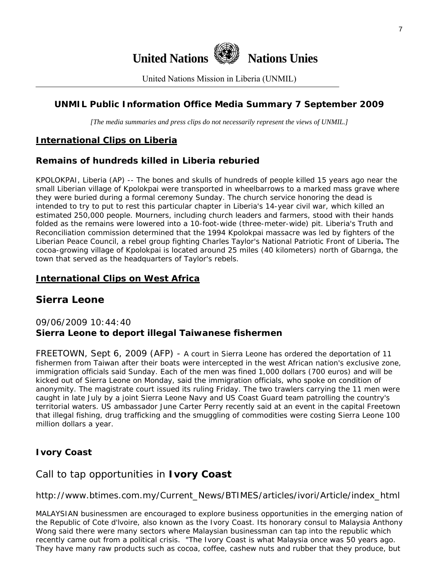

United Nations Mission in Liberia (UNMIL)

## **UNMIL Public Information Office Media Summary 7 September 2009**

*[The media summaries and press clips do not necessarily represent the views of UNMIL.]* 

## **International Clips on Liberia**

## **Remains of hundreds killed in Liberia reburied**

KPOLOKPAI, Liberia (AP) -- The bones and skulls of hundreds of people killed 15 years ago near the small Liberian village of Kpolokpai were transported in wheelbarrows to a marked mass grave where they were buried during a formal ceremony Sunday. The church service honoring the dead is intended to try to put to rest this particular chapter in Liberia's 14-year civil war, which killed an estimated 250,000 people. Mourners, including church leaders and farmers, stood with their hands folded as the remains were lowered into a 10-foot-wide (three-meter-wide) pit. Liberia's Truth and Reconciliation commission determined that the 1994 Kpolokpai massacre was led by fighters of the Liberian Peace Council, a rebel group fighting Charles Taylor's National Patriotic Front of Liberia**.** The cocoa-growing village of Kpolokpai is located around 25 miles (40 kilometers) north of Gbarnga, the town that served as the headquarters of Taylor's rebels.

### **International Clips on West Africa**

## **Sierra Leone**

## 09/06/2009 10:44:40 **Sierra Leone to deport illegal Taiwanese fishermen**

FREETOWN, Sept 6, 2009 (AFP) - A court in Sierra Leone has ordered the deportation of 11 fishermen from Taiwan after their boats were intercepted in the west African nation's exclusive zone, immigration officials said Sunday. Each of the men was fined 1,000 dollars (700 euros) and will be kicked out of Sierra Leone on Monday, said the immigration officials, who spoke on condition of anonymity. The magistrate court issued its ruling Friday. The two trawlers carrying the 11 men were caught in late July by a joint Sierra Leone Navy and US Coast Guard team patrolling the country's territorial waters. US ambassador June Carter Perry recently said at an event in the capital Freetown that illegal fishing, drug trafficking and the smuggling of commodities were costing Sierra Leone 100 million dollars a year.

## **Ivory Coast**

## Call to tap opportunities in **Ivory Coast**

http://www.btimes.com.my/Current\_News/BTIMES/articles/ivori/Article/index\_html

MALAYSIAN businessmen are encouraged to explore business opportunities in the emerging nation of the Republic of Cote d'lvoire, also known as the Ivory Coast. Its honorary consul to Malaysia Anthony Wong said there were many sectors where Malaysian businessman can tap into the republic which recently came out from a political crisis. "The Ivory Coast is what Malaysia once was 50 years ago. They have many raw products such as cocoa, coffee, cashew nuts and rubber that they produce, but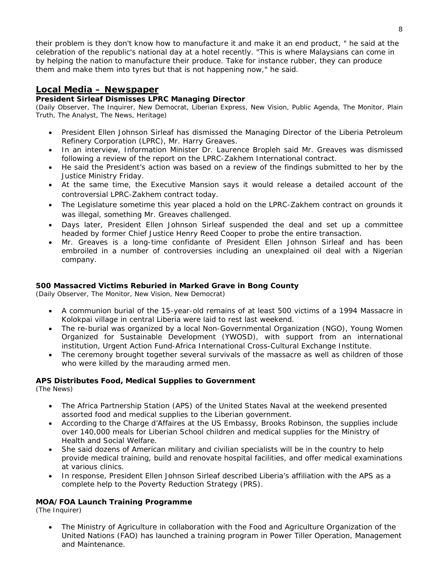their problem is they don't know how to manufacture it and make it an end product, " he said at the celebration of the republic's national day at a hotel recently. "This is where Malaysians can come in by helping the nation to manufacture their produce. Take for instance rubber, they can produce them and make them into tyres but that is not happening now," he said.

#### **Local Media – Newspaper**

#### **President Sirleaf Dismisses LPRC Managing Director**

(Daily Observer, The Inquirer, New Democrat, Liberian Express, New Vision, Public Agenda, The Monitor, Plain Truth, The Analyst, The News, Heritage)

- President Ellen Johnson Sirleaf has dismissed the Managing Director of the Liberia Petroleum Refinery Corporation (LPRC), Mr. Harry Greaves.
- In an interview, Information Minister Dr. Laurence Bropleh said Mr. Greaves was dismissed following a review of the report on the LPRC-Zakhem International contract.
- He said the President's action was based on a review of the findings submitted to her by the Justice Ministry Friday.
- At the same time, the Executive Mansion says it would release a detailed account of the controversial LPRC-Zakhem contract today.
- The Legislature sometime this year placed a hold on the LPRC-Zakhem contract on grounds it was illegal, something Mr. Greaves challenged.
- Days later, President Ellen Johnson Sirleaf suspended the deal and set up a committee headed by former Chief Justice Henry Reed Cooper to probe the entire transaction.
- Mr. Greaves is a long-time confidante of President Ellen Johnson Sirleaf and has been embroiled in a number of controversies including an unexplained oil deal with a Nigerian company.

#### **500 Massacred Victims Reburied in Marked Grave in Bong County**

(Daily Observer, The Monitor, New Vision, New Democrat)

- A communion burial of the 15-year-old remains of at least 500 victims of a 1994 Massacre in Kolokpai village in central Liberia were laid to rest last weekend.
- The re-burial was organized by a local Non-Governmental Organization (NGO), Young Women Organized for Sustainable Development (YWOSD), with support from an international institution, Urgent Action Fund-Africa International Cross-Cultural Exchange Institute.
- The ceremony brought together several survivals of the massacre as well as children of those who were killed by the marauding armed men.

#### **APS Distributes Food, Medical Supplies to Government**

(The News)

- The Africa Partnership Station (APS) of the United States Naval at the weekend presented assorted food and medical supplies to the Liberian government.
- According to the Charge d'Affaires at the US Embassy, Brooks Robinson, the supplies include over 140,000 meals for Liberian School children and medical supplies for the Ministry of Health and Social Welfare.
- She said dozens of American military and civilian specialists will be in the country to help provide medical training, build and renovate hospital facilities, and offer medical examinations at various clinics.
- In response, President Ellen Johnson Sirleaf described Liberia's affiliation with the APS as a complete help to the Poverty Reduction Strategy (PRS).

#### **MOA/FOA Launch Training Programme**

(The Inquirer)

• The Ministry of Agriculture in collaboration with the Food and Agriculture Organization of the United Nations (FAO) has launched a training program in Power Tiller Operation, Management and Maintenance.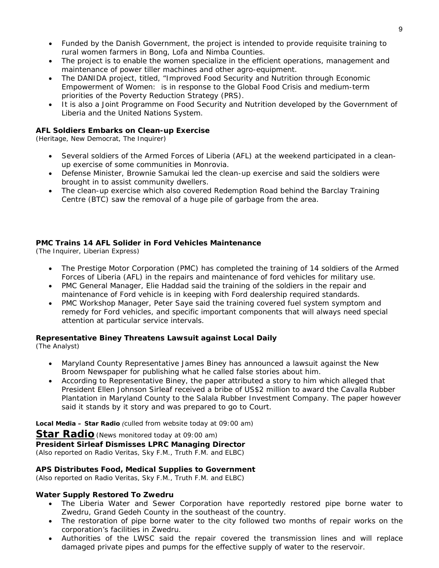- Funded by the Danish Government, the project is intended to provide requisite training to rural women farmers in Bong, Lofa and Nimba Counties.
- The project is to enable the women specialize in the efficient operations, management and maintenance of power tiller machines and other agro-equipment.
- The DANIDA project, titled, "Improved Food Security and Nutrition through Economic Empowerment of Women: is in response to the Global Food Crisis and medium-term priorities of the Poverty Reduction Strategy (PRS).
- It is also a Joint Programme on Food Security and Nutrition developed by the Government of Liberia and the United Nations System.

#### **AFL Soldiers Embarks on Clean-up Exercise**

(Heritage, New Democrat, The Inquirer)

- Several soldiers of the Armed Forces of Liberia (AFL) at the weekend participated in a cleanup exercise of some communities in Monrovia.
- Defense Minister, Brownie Samukai led the clean-up exercise and said the soldiers were brought in to assist community dwellers.
- The clean-up exercise which also covered Redemption Road behind the Barclay Training Centre (BTC) saw the removal of a huge pile of garbage from the area.

#### **PMC Trains 14 AFL Solider in Ford Vehicles Maintenance**

(The Inquirer, Liberian Express)

- The Prestige Motor Corporation (PMC) has completed the training of 14 soldiers of the Armed Forces of Liberia (AFL) in the repairs and maintenance of ford vehicles for military use.
- PMC General Manager, Elie Haddad said the training of the soldiers in the repair and maintenance of Ford vehicle is in keeping with Ford dealership required standards.
- PMC Workshop Manager, Peter Saye said the training covered fuel system symptom and remedy for Ford vehicles, and specific important components that will always need special attention at particular service intervals.

#### **Representative Biney Threatens Lawsuit against Local Daily**

(The Analyst)

- Maryland County Representative James Biney has announced a lawsuit against the New Broom Newspaper for publishing what he called false stories about him.
- According to Representative Biney, the paper attributed a story to him which alleged that President Ellen Johnson Sirleaf received a bribe of US\$2 million to award the Cavalla Rubber Plantation in Maryland County to the Salala Rubber Investment Company. The paper however said it stands by it story and was prepared to go to Court.

**Local Media – Star Radio** *(culled from website today at 09:00 am)* 

**Star Radio***(News monitored today at 09:00 am)* **President Sirleaf Dismisses LPRC Managing Director**  *(Also reported on Radio Veritas, Sky F.M., Truth F.M. and ELBC)*

#### **APS Distributes Food, Medical Supplies to Government**

*(Also reported on Radio Veritas, Sky F.M., Truth F.M. and ELBC)*

#### **Water Supply Restored To Zwedru**

- The Liberia Water and Sewer Corporation have reportedly restored pipe borne water to Zwedru, Grand Gedeh County in the southeast of the country.
- The restoration of pipe borne water to the city followed two months of repair works on the corporation's facilities in Zwedru.
- Authorities of the LWSC said the repair covered the transmission lines and will replace damaged private pipes and pumps for the effective supply of water to the reservoir.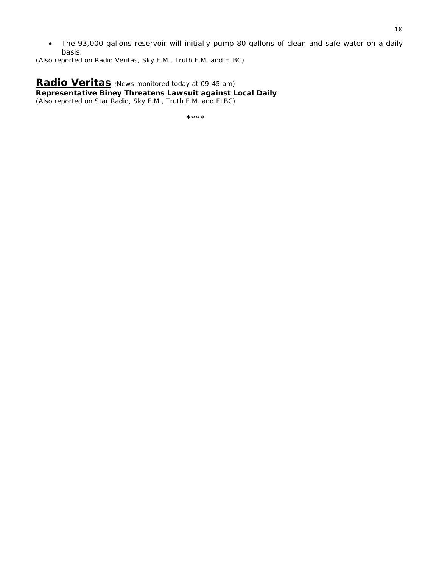• The 93,000 gallons reservoir will initially pump 80 gallons of clean and safe water on a daily basis.

*(Also reported on Radio Veritas, Sky F.M., Truth F.M. and ELBC)*

**Radio Veritas** *(News monitored today at 09:45 am)* **Representative Biney Threatens Lawsuit against Local Daily**  *(Also reported on Star Radio, Sky F.M., Truth F.M. and ELBC)*

\*\*\*\*\*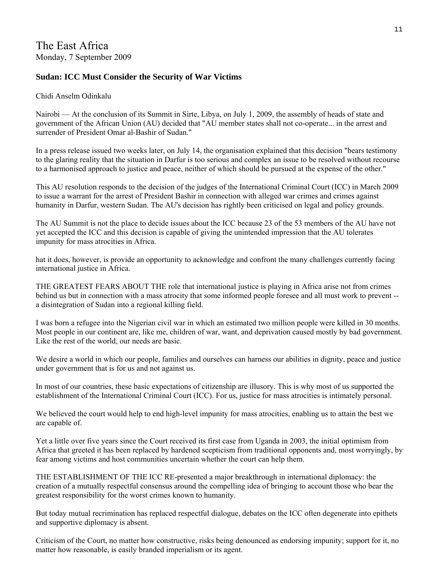## The East Africa Monday, 7 September 2009

### **Sudan: ICC Must Consider the Security of War Victims**

#### Chidi Anselm Odinkalu

Nairobi — At the conclusion of its Summit in Sirte, Libya, on July 1, 2009, the assembly of heads of state and government of the African Union (AU) decided that "AU member states shall not co-operate... in the arrest and surrender of President Omar al-Bashir of Sudan."

In a press release issued two weeks later, on July 14, the organisation explained that this decision "bears testimony to the glaring reality that the situation in Darfur is too serious and complex an issue to be resolved without recourse to a harmonised approach to justice and peace, neither of which should be pursued at the expense of the other."

This AU resolution responds to the decision of the judges of the International Criminal Court (ICC) in March 2009 to issue a warrant for the arrest of President Bashir in connection with alleged war crimes and crimes against humanity in Darfur, western Sudan. The AU's decision has rightly been criticised on legal and policy grounds.

The AU Summit is not the place to decide issues about the ICC because 23 of the 53 members of the AU have not yet accepted the ICC and this decision is capable of giving the unintended impression that the AU tolerates impunity for mass atrocities in Africa.

hat it does, however, is provide an opportunity to acknowledge and confront the many challenges currently facing international justice in Africa.

THE GREATEST FEARS ABOUT THE role that international justice is playing in Africa arise not from crimes behind us but in connection with a mass atrocity that some informed people foresee and all must work to prevent - a disintegration of Sudan into a regional killing field.

I was born a refugee into the Nigerian civil war in which an estimated two million people were killed in 30 months. Most people in our continent are, like me, children of war, want, and deprivation caused mostly by bad government. Like the rest of the world, our needs are basic.

We desire a world in which our people, families and ourselves can harness our abilities in dignity, peace and justice under government that is for us and not against us.

In most of our countries, these basic expectations of citizenship are illusory. This is why most of us supported the establishment of the International Criminal Court (ICC). For us, justice for mass atrocities is intimately personal.

We believed the court would help to end high-level impunity for mass atrocities, enabling us to attain the best we are capable of.

Yet a little over five years since the Court received its first case from Uganda in 2003, the initial optimism from Africa that greeted it has been replaced by hardened scepticism from traditional opponents and, most worryingly, by fear among victims and host communities uncertain whether the court can help them.

THE ESTABLISHMENT OF THE ICC RE-presented a major breakthrough in international diplomacy: the creation of a mutually respectful consensus around the compelling idea of bringing to account those who bear the greatest responsibility for the worst crimes known to humanity.

But today mutual recrimination has replaced respectful dialogue, debates on the ICC often degenerate into epithets and supportive diplomacy is absent.

Criticism of the Court, no matter how constructive, risks being denounced as endorsing impunity; support for it, no matter how reasonable, is easily branded imperialism or its agent.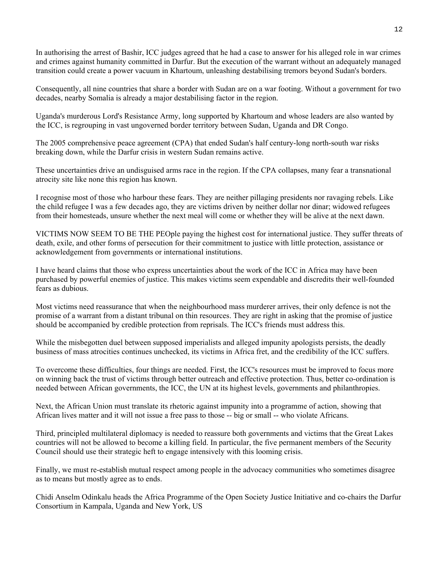In authorising the arrest of Bashir, ICC judges agreed that he had a case to answer for his alleged role in war crimes and crimes against humanity committed in Darfur. But the execution of the warrant without an adequately managed transition could create a power vacuum in Khartoum, unleashing destabilising tremors beyond Sudan's borders.

Consequently, all nine countries that share a border with Sudan are on a war footing. Without a government for two decades, nearby Somalia is already a major destabilising factor in the region.

Uganda's murderous Lord's Resistance Army, long supported by Khartoum and whose leaders are also wanted by the ICC, is regrouping in vast ungoverned border territory between Sudan, Uganda and DR Congo.

The 2005 comprehensive peace agreement (CPA) that ended Sudan's half century-long north-south war risks breaking down, while the Darfur crisis in western Sudan remains active.

These uncertainties drive an undisguised arms race in the region. If the CPA collapses, many fear a transnational atrocity site like none this region has known.

I recognise most of those who harbour these fears. They are neither pillaging presidents nor ravaging rebels. Like the child refugee I was a few decades ago, they are victims driven by neither dollar nor dinar; widowed refugees from their homesteads, unsure whether the next meal will come or whether they will be alive at the next dawn.

VICTIMS NOW SEEM TO BE THE PEOple paying the highest cost for international justice. They suffer threats of death, exile, and other forms of persecution for their commitment to justice with little protection, assistance or acknowledgement from governments or international institutions.

I have heard claims that those who express uncertainties about the work of the ICC in Africa may have been purchased by powerful enemies of justice. This makes victims seem expendable and discredits their well-founded fears as dubious.

Most victims need reassurance that when the neighbourhood mass murderer arrives, their only defence is not the promise of a warrant from a distant tribunal on thin resources. They are right in asking that the promise of justice should be accompanied by credible protection from reprisals. The ICC's friends must address this.

While the misbegotten duel between supposed imperialists and alleged impunity apologists persists, the deadly business of mass atrocities continues unchecked, its victims in Africa fret, and the credibility of the ICC suffers.

To overcome these difficulties, four things are needed. First, the ICC's resources must be improved to focus more on winning back the trust of victims through better outreach and effective protection. Thus, better co-ordination is needed between African governments, the ICC, the UN at its highest levels, governments and philanthropies.

Next, the African Union must translate its rhetoric against impunity into a programme of action, showing that African lives matter and it will not issue a free pass to those -- big or small -- who violate Africans.

Third, principled multilateral diplomacy is needed to reassure both governments and victims that the Great Lakes countries will not be allowed to become a killing field. In particular, the five permanent members of the Security Council should use their strategic heft to engage intensively with this looming crisis.

Finally, we must re-establish mutual respect among people in the advocacy communities who sometimes disagree as to means but mostly agree as to ends.

Chidi Anselm Odinkalu heads the Africa Programme of the Open Society Justice Initiative and co-chairs the Darfur Consortium in Kampala, Uganda and New York, US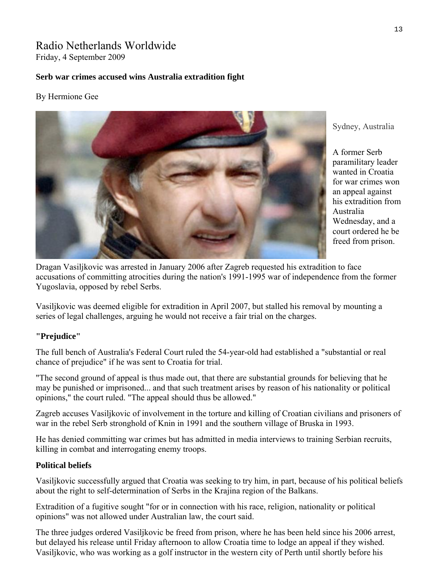## Radio Netherlands Worldwide Friday, 4 September 2009

#### **Serb war crimes accused wins Australia extradition fight**

#### By Hermione Gee



Sydney, Australia

A former Serb paramilitary leader wanted in Croatia for war crimes won an appeal against his extradition from Australia Wednesday, and a court ordered he be freed from prison.

Dragan Vasiljkovic was arrested in January 2006 after Zagreb requested his extradition to face accusations of committing atrocities during the nation's 1991-1995 war of independence from the former Yugoslavia, opposed by rebel Serbs.

Vasiljkovic was deemed eligible for extradition in April 2007, but stalled his removal by mounting a series of legal challenges, arguing he would not receive a fair trial on the charges.

#### **"Prejudice"**

The full bench of Australia's Federal Court ruled the 54-year-old had established a "substantial or real chance of prejudice" if he was sent to Croatia for trial.

"The second ground of appeal is thus made out, that there are substantial grounds for believing that he may be punished or imprisoned... and that such treatment arises by reason of his nationality or political opinions," the court ruled. "The appeal should thus be allowed."

Zagreb accuses Vasiljkovic of involvement in the torture and killing of Croatian civilians and prisoners of war in the rebel Serb stronghold of Knin in 1991 and the southern village of Bruska in 1993.

He has denied committing war crimes but has admitted in media interviews to training Serbian recruits, killing in combat and interrogating enemy troops.

#### **Political beliefs**

Vasiljkovic successfully argued that Croatia was seeking to try him, in part, because of his political beliefs about the right to self-determination of Serbs in the Krajina region of the Balkans.

Extradition of a fugitive sought "for or in connection with his race, religion, nationality or political opinions" was not allowed under Australian law, the court said.

The three judges ordered Vasiljkovic be freed from prison, where he has been held since his 2006 arrest, but delayed his release until Friday afternoon to allow Croatia time to lodge an appeal if they wished. Vasiljkovic, who was working as a golf instructor in the western city of Perth until shortly before his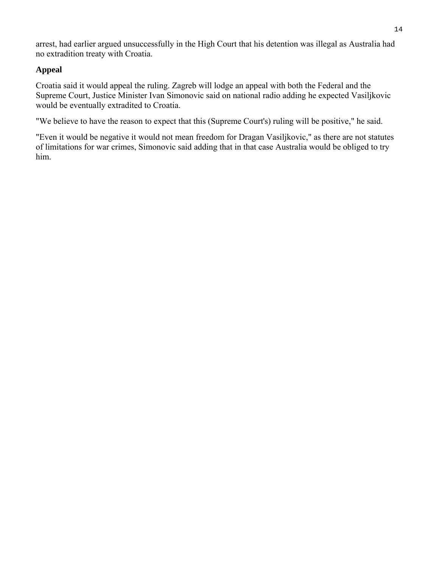arrest, had earlier argued unsuccessfully in the High Court that his detention was illegal as Australia had no extradition treaty with Croatia.

## **Appeal**

Croatia said it would appeal the ruling. Zagreb will lodge an appeal with both the Federal and the Supreme Court, Justice Minister Ivan Simonovic said on national radio adding he expected Vasiljkovic would be eventually extradited to Croatia.

"We believe to have the reason to expect that this (Supreme Court's) ruling will be positive," he said.

"Even it would be negative it would not mean freedom for Dragan Vasiljkovic," as there are not statutes of limitations for war crimes, Simonovic said adding that in that case Australia would be obliged to try him.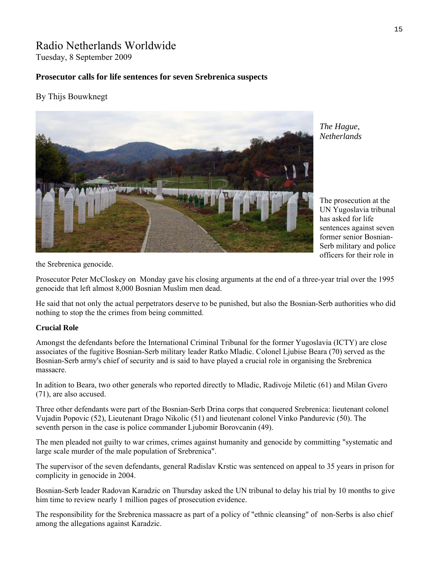## Radio Netherlands Worldwide Tuesday, 8 September 2009

#### **Prosecutor calls for life sentences for seven Srebrenica suspects**

#### By Thijs Bouwknegt



*The Hague, Netherlands* 

The prosecution at the UN Yugoslavia tribunal has asked for life sentences against seven former senior Bosnian-Serb military and police officers for their role in

the Srebrenica genocide.

Prosecutor Peter McCloskey on Monday gave his closing arguments at the end of a three-year trial over the 1995 genocide that left almost 8,000 Bosnian Muslim men dead.

He said that not only the actual perpetrators deserve to be punished, but also the Bosnian-Serb authorities who did nothing to stop the the crimes from being committed.

#### **Crucial Role**

Amongst the defendants before the International Criminal Tribunal for the former Yugoslavia (ICTY) are close associates of the fugitive Bosnian-Serb military leader Ratko Mladic. Colonel Ljubise Beara (70) served as the Bosnian-Serb army's chief of security and is said to have played a crucial role in organising the Srebrenica massacre.

In adition to Beara, two other generals who reported directly to Mladic, Radivoje Miletic (61) and Milan Gvero (71), are also accused.

Three other defendants were part of the Bosnian-Serb Drina corps that conquered Srebrenica: lieutenant colonel Vujadin Popovic (52), Lieutenant Drago Nikolic (51) and lieutenant colonel Vinko Pandurevic (50). The seventh person in the case is police commander Ljubomir Borovcanin (49).

The men pleaded not guilty to war crimes, crimes against humanity and genocide by committing "systematic and large scale murder of the male population of Srebrenica".

The supervisor of the seven defendants, general Radislav Krstic was sentenced on appeal to 35 years in prison for complicity in genocide in 2004.

Bosnian-Serb leader Radovan Karadzic on Thursday asked the UN tribunal to delay his trial by 10 months to give him time to review nearly 1 million pages of prosecution evidence.

The responsibility for the Srebrenica massacre as part of a policy of "ethnic cleansing" of non-Serbs is also chief among the allegations against Karadzic.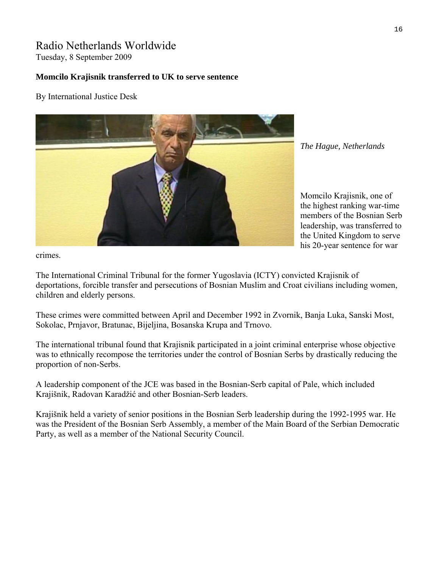## Radio Netherlands Worldwide

Tuesday, 8 September 2009

### **Momcilo Krajisnik transferred to UK to serve sentence**

By International Justice Desk



*The Hague, Netherlands* 

Momcilo Krajisnik, one of the highest ranking war-time members of the Bosnian S erb leadership, was transfe rred to the United Kingdom to se rve his 20-year sentence for w ar

crimes.

The International Criminal Tribunal for the former Yugoslavia ([ICTY\)](http://www.icty.org/) convicted Krajisnik of deportations, forcible transfer and persecutions of Bosnian Muslim and Croat civilians including women, children and elderly persons.

These crimes were committed between April and December 1992 in Zvornik, Banja Luka, Sanski Most, Sokolac, Prnjavor, Bratunac, Bijeljina, Bosanska Krupa and Trnovo.

The international tribunal found that Krajisnik participated in a joint criminal enterprise whose objective was to ethnically recompose the territories under the control of Bosnian Serbs by drastically reducing the proportion of non-Serbs.

A leadership component of the JCE was based in the Bosnian-Serb capital of Pale, which included Krajišnik, Radovan Karadžić and other Bosnian-Serb leaders.

Krajišnik held a variety of senior positions in the Bosnian Serb leadership during the 1992-1995 war. He was the President of the Bosnian Serb Assembly, a member of the Main Board of the Serbian Democratic Party, as well as a member of the National Security Council.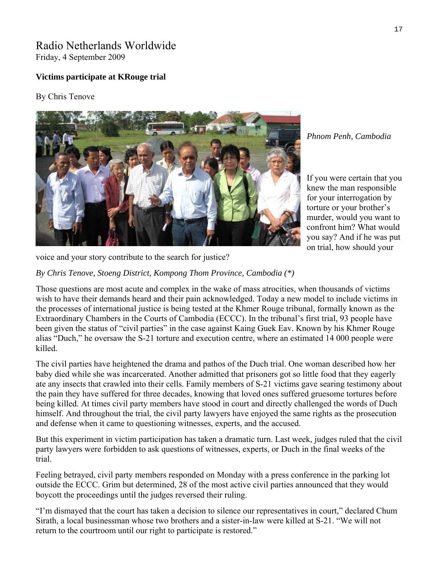## Radio Netherlands Worldwide Friday, 4 September 2009

## **Victims participate at KRouge trial**

#### By Chris Tenove



*Phnom Penh, Cambodia* 

If you were certain that y ou knew the man respo nsible for your interrogation by torture or your brother's murder, would you want to confront him? What would you say? And if he was put on trial, how should your

voice and your story contribute to the search for justice?

*By Chris Tenove, Stoeng District, Kompong Thom Province, Cambodia (\*)*

Those questions are most acute and complex in the wake of mass atrocities, when thousands of victims wish to have their demands heard and their pain acknowledged. Today a new model to include victims in the processes of international justice is being tested at the Khmer Rouge tribunal, formally known as the Extraordinary Chambers in the Courts of Cambodia (ECCC). In the tribunal's first trial, 93 people have been given the status of "civil parties" in the case against Kaing Guek Eav. Known by his Khmer Rouge alias "Duch," he oversaw the S-21 torture and execution centre, where an estimated 14 000 people were killed.

The civil parties have heightened the drama and pathos of the Duch trial. One woman described how her baby died while she was incarcerated. Another admitted that prisoners got so little food that they eagerly ate any insects that crawled into their cells. Family members of S-21 victims gave searing testimony about the pain they have suffered for three decades, knowing that loved ones suffered gruesome tortures before being killed. At times civil party members have stood in court and directly challenged the words of Duch himself. And throughout the trial, the civil party lawyers have enjoyed the same rights as the prosecution and defense when it came to questioning witnesses, experts, and the accused.

But this experiment in victim participation has taken a dramatic turn. Last week, judges ruled that the civil party lawyers were forbidden to ask questions of witnesses, experts, or Duch in the final weeks of the trial.

Feeling betrayed, civil party members responded on Monday with a press conference in the parking lot outside the ECCC. Grim but determined, 28 of the most active civil parties announced that they would boycott the proceedings until the judges reversed their ruling.

"I'm dismayed that the court has taken a decision to silence our representatives in court," declared Chum Sirath, a local businessman whose two brothers and a sister-in-law were killed at S-21. "We will not return to the courtroom until our right to participate is restored."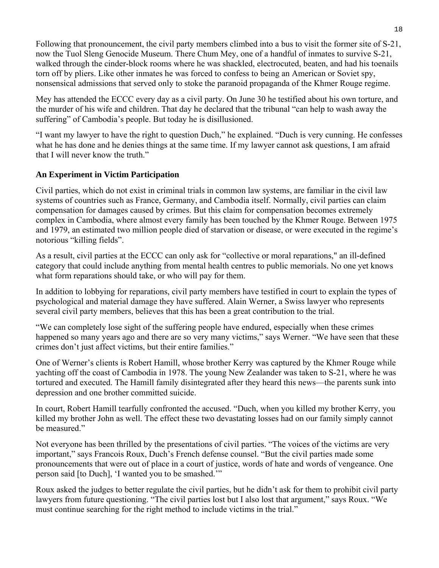Following that pronouncement, the civil party members climbed into a bus to visit the former site of S-21, now the Tuol Sleng Genocide Museum. There Chum Mey, one of a handful of inmates to survive S-21, walked through the cinder-block rooms where he was shackled, electrocuted, beaten, and had his toenails torn off by pliers. Like other inmates he was forced to confess to being an American or Soviet spy, nonsensical admissions that served only to stoke the paranoid propaganda of the Khmer Rouge regime.

Mey has attended the ECCC every day as a civil party. On June 30 he testified about his own torture, and the murder of his wife and children. That day he declared that the tribunal "can help to wash away the suffering" of Cambodia's people. But today he is disillusioned.

"I want my lawyer to have the right to question Duch," he explained. "Duch is very cunning. He confesses what he has done and he denies things at the same time. If my lawyer cannot ask questions, I am afraid that I will never know the truth."

## **An Experiment in Victim Participation**

Civil parties, which do not exist in criminal trials in common law systems, are familiar in the civil law systems of countries such as France, Germany, and Cambodia itself. Normally, civil parties can claim compensation for damages caused by crimes. But this claim for compensation becomes extremely complex in Cambodia, where almost every family has been touched by the Khmer Rouge. Between 1975 and 1979, an estimated two million people died of starvation or disease, or were executed in the regime's notorious "killing fields".

As a result, civil parties at the ECCC can only ask for "collective or moral reparations," an ill-defined category that could include anything from mental health centres to public memorials. No one yet knows what form reparations should take, or who will pay for them.

In addition to lobbying for reparations, civil party members have testified in court to explain the types of psychological and material damage they have suffered. Alain Werner, a Swiss lawyer who represents several civil party members, believes that this has been a great contribution to the trial.

"We can completely lose sight of the suffering people have endured, especially when these crimes happened so many years ago and there are so very many victims," says Werner. "We have seen that these crimes don't just affect victims, but their entire families."

One of Werner's clients is Robert Hamill, whose brother Kerry was captured by the Khmer Rouge while yachting off the coast of Cambodia in 1978. The young New Zealander was taken to S-21, where he was tortured and executed. The Hamill family disintegrated after they heard this news—the parents sunk into depression and one brother committed suicide.

In court, Robert Hamill tearfully confronted the accused. "Duch, when you killed my brother Kerry, you killed my brother John as well. The effect these two devastating losses had on our family simply cannot be measured."

Not everyone has been thrilled by the presentations of civil parties. "The voices of the victims are very important," says Francois Roux, Duch's French defense counsel. "But the civil parties made some pronouncements that were out of place in a court of justice, words of hate and words of vengeance. One person said [to Duch], 'I wanted you to be smashed.'"

Roux asked the judges to better regulate the civil parties, but he didn't ask for them to prohibit civil party lawyers from future questioning. "The civil parties lost but I also lost that argument," says Roux. "We must continue searching for the right method to include victims in the trial."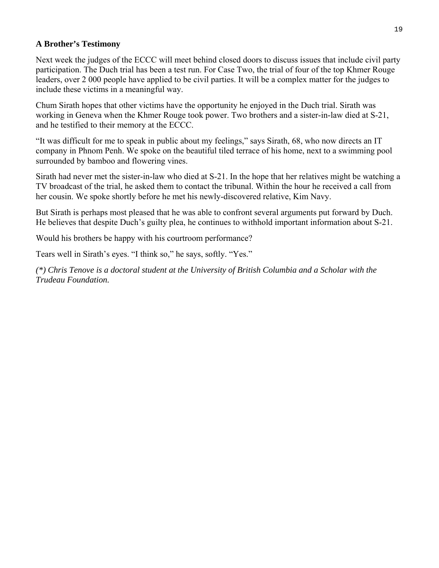#### **A Brother's Testimony**

Next week the judges of the ECCC will meet behind closed doors to discuss issues that include civil party participation. The Duch trial has been a test run. For Case Two, the trial of four of the top Khmer Rouge leaders, over 2 000 people have applied to be civil parties. It will be a complex matter for the judges to include these victims in a meaningful way.

Chum Sirath hopes that other victims have the opportunity he enjoyed in the Duch trial. Sirath was working in Geneva when the Khmer Rouge took power. Two brothers and a sister-in-law died at S-21, and he testified to their memory at the ECCC.

"It was difficult for me to speak in public about my feelings," says Sirath, 68, who now directs an IT company in Phnom Penh. We spoke on the beautiful tiled terrace of his home, next to a swimming pool surrounded by bamboo and flowering vines.

Sirath had never met the sister-in-law who died at S-21. In the hope that her relatives might be watching a TV broadcast of the trial, he asked them to contact the tribunal. Within the hour he received a call from her cousin. We spoke shortly before he met his newly-discovered relative, Kim Navy.

But Sirath is perhaps most pleased that he was able to confront several arguments put forward by Duch. He believes that despite Duch's guilty plea, he continues to withhold important information about S-21.

Would his brothers be happy with his courtroom performance?

Tears well in Sirath's eyes. "I think so," he says, softly. "Yes."

*(\*) Chris Tenove is a doctoral student at the University of British Columbia and a Scholar with the Trudeau Foundation.*